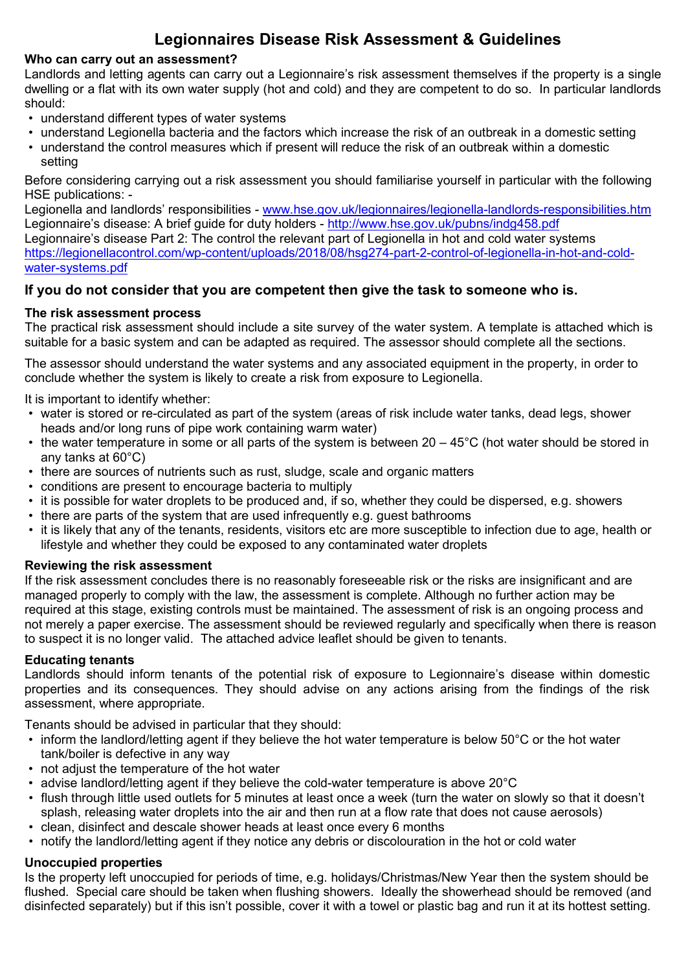## **Legionnaires Disease Risk Assessment & Guidelines**

#### **Who can carry out an assessment?**

Landlords and letting agents can carry out a Legionnaire's risk assessment themselves if the property is a single dwelling or a flat with its own water supply (hot and cold) and they are competent to do so. In particular landlords should:

- understand different types of water systems
- understand Legionella bacteria and the factors which increase the risk of an outbreak in a domestic setting
- understand the control measures which if present will reduce the risk of an outbreak within a domestic setting

Before considering carrying out a risk assessment you should familiarise yourself in particular with the following HSE publications: -

Legionella and landlords' responsibilities - [www.hse.gov.uk/legionnaires/legionella-landlords-responsibilities.htm](http://www.hse.gov.uk/legionnaires/legionella-landlords-responsibilities.htm) Legionnaire's disease: A brief guide for duty holders -<http://www.hse.gov.uk/pubns/indg458.pdf> Legionnaire's disease Part 2: The control the relevant part of Legionella in hot and cold water systems https://legionellacontrol.com/wp-content/uploads/2018/08/hsg274-part-2-control-of-legionella-in-hot-and-coldwater-systems.pdf

## **If you do not consider that you are competent then give the task to someone who is.**

#### **The risk assessment process**

The practical risk assessment should include a site survey of the water system. A template is attached which is suitable for a basic system and can be adapted as required. The assessor should complete all the sections.

The assessor should understand the water systems and any associated equipment in the property, in order to conclude whether the system is likely to create a risk from exposure to Legionella.

It is important to identify whether:

- water is stored or re-circulated as part of the system (areas of risk include water tanks, dead legs, shower heads and/or long runs of pipe work containing warm water)
- the water temperature in some or all parts of the system is between 20 45°C (hot water should be stored in any tanks at 60°C)
- there are sources of nutrients such as rust, sludge, scale and organic matters
- conditions are present to encourage bacteria to multiply
- it is possible for water droplets to be produced and, if so, whether they could be dispersed, e.g. showers
- there are parts of the system that are used infrequently e.g. guest bathrooms
- it is likely that any of the tenants, residents, visitors etc are more susceptible to infection due to age, health or lifestyle and whether they could be exposed to any contaminated water droplets

#### **Reviewing the risk assessment**

If the risk assessment concludes there is no reasonably foreseeable risk or the risks are insignificant and are managed properly to comply with the law, the assessment is complete. Although no further action may be required at this stage, existing controls must be maintained. The assessment of risk is an ongoing process and not merely a paper exercise. The assessment should be reviewed regularly and specifically when there is reason to suspect it is no longer valid. The attached advice leaflet should be given to tenants.

#### **Educating tenants**

Landlords should inform tenants of the potential risk of exposure to Legionnaire's disease within domestic properties and its consequences. They should advise on any actions arising from the findings of the risk assessment, where appropriate.

Tenants should be advised in particular that they should:

- inform the landlord/letting agent if they believe the hot water temperature is below 50°C or the hot water tank/boiler is defective in any way
- not adjust the temperature of the hot water
- advise landlord/letting agent if they believe the cold-water temperature is above 20°C
- flush through little used outlets for 5 minutes at least once a week (turn the water on slowly so that it doesn't splash, releasing water droplets into the air and then run at a flow rate that does not cause aerosols)
- clean, disinfect and descale shower heads at least once every 6 months
- notify the landlord/letting agent if they notice any debris or discolouration in the hot or cold water

#### **Unoccupied properties**

Is the property left unoccupied for periods of time, e.g. holidays/Christmas/New Year then the system should be flushed. Special care should be taken when flushing showers. Ideally the showerhead should be removed (and disinfected separately) but if this isn't possible, cover it with a towel or plastic bag and run it at its hottest setting.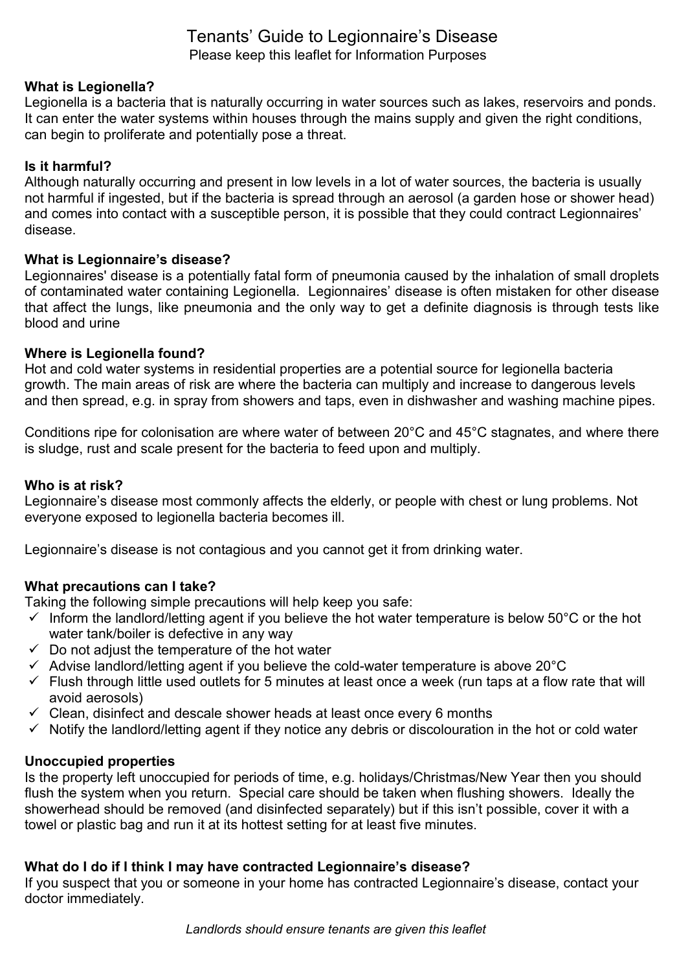## Tenants' Guide to Legionnaire's Disease Please keep this leaflet for Information Purposes

## **What is Legionella?**

Legionella is a bacteria that is naturally occurring in water sources such as lakes, reservoirs and ponds. It can enter the water systems within houses through the mains supply and given the right conditions, can begin to proliferate and potentially pose a threat.

#### **Is it harmful?**

Although naturally occurring and present in low levels in a lot of water sources, the bacteria is usually not harmful if ingested, but if the bacteria is spread through an aerosol (a garden hose or shower head) and comes into contact with a susceptible person, it is possible that they could contract Legionnaires' disease.

#### **What is Legionnaire's disease?**

Legionnaires' disease is a potentially fatal form of pneumonia caused by the inhalation of small droplets of contaminated water containing Legionella. Legionnaires' disease is often mistaken for other disease that affect the lungs, like pneumonia and the only way to get a definite diagnosis is through tests like blood and urine

## **Where is Legionella found?**

Hot and cold water systems in residential properties are a potential source for legionella bacteria growth. The main areas of risk are where the bacteria can multiply and increase to dangerous levels and then spread, e.g. in spray from showers and taps, even in dishwasher and washing machine pipes.

Conditions ripe for colonisation are where water of between 20°C and 45°C stagnates, and where there is sludge, rust and scale present for the bacteria to feed upon and multiply.

#### **Who is at risk?**

Legionnaire's disease most commonly affects the elderly, or people with chest or lung problems. Not everyone exposed to legionella bacteria becomes ill.

Legionnaire's disease is not contagious and you cannot get it from drinking water.

## **What precautions can I take?**

Taking the following simple precautions will help keep you safe:

- $\checkmark$  Inform the landlord/letting agent if you believe the hot water temperature is below 50°C or the hot water tank/boiler is defective in any way
- $\checkmark$  Do not adjust the temperature of the hot water
- $\checkmark$  Advise landlord/letting agent if you believe the cold-water temperature is above 20 $^{\circ}$ C
- $\checkmark$  Flush through little used outlets for 5 minutes at least once a week (run taps at a flow rate that will avoid aerosols)
- $\checkmark$  Clean, disinfect and descale shower heads at least once every 6 months
- $\checkmark$  Notify the landlord/letting agent if they notice any debris or discolouration in the hot or cold water

## **Unoccupied properties**

Is the property left unoccupied for periods of time, e.g. holidays/Christmas/New Year then you should flush the system when you return. Special care should be taken when flushing showers. Ideally the showerhead should be removed (and disinfected separately) but if this isn't possible, cover it with a towel or plastic bag and run it at its hottest setting for at least five minutes.

## **What do I do if I think I may have contracted Legionnaire's disease?**

If you suspect that you or someone in your home has contracted Legionnaire's disease, contact your doctor immediately.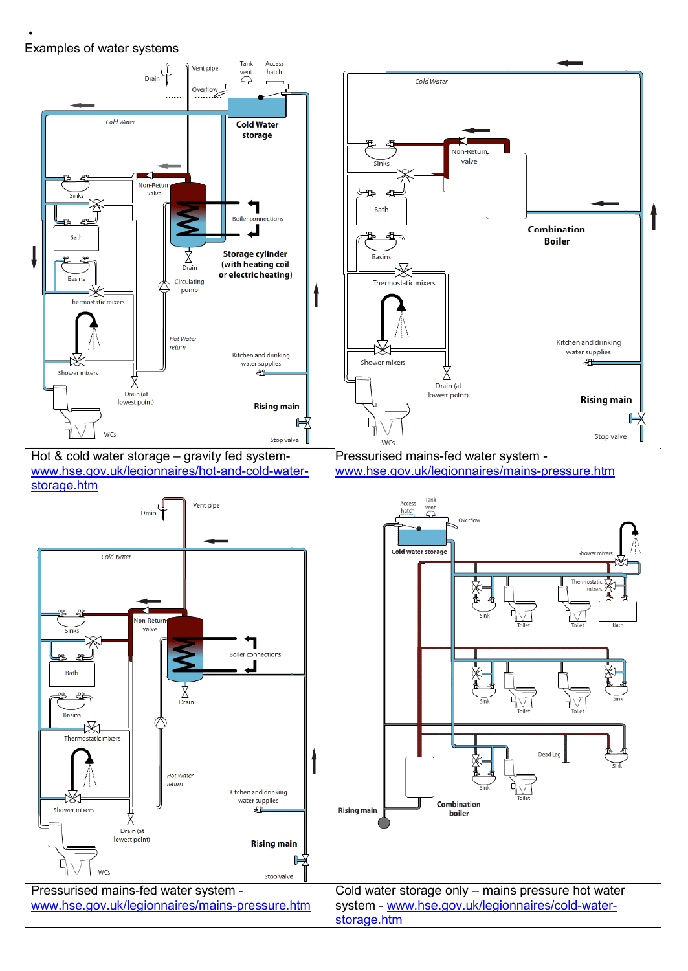#### • Examples of water systems

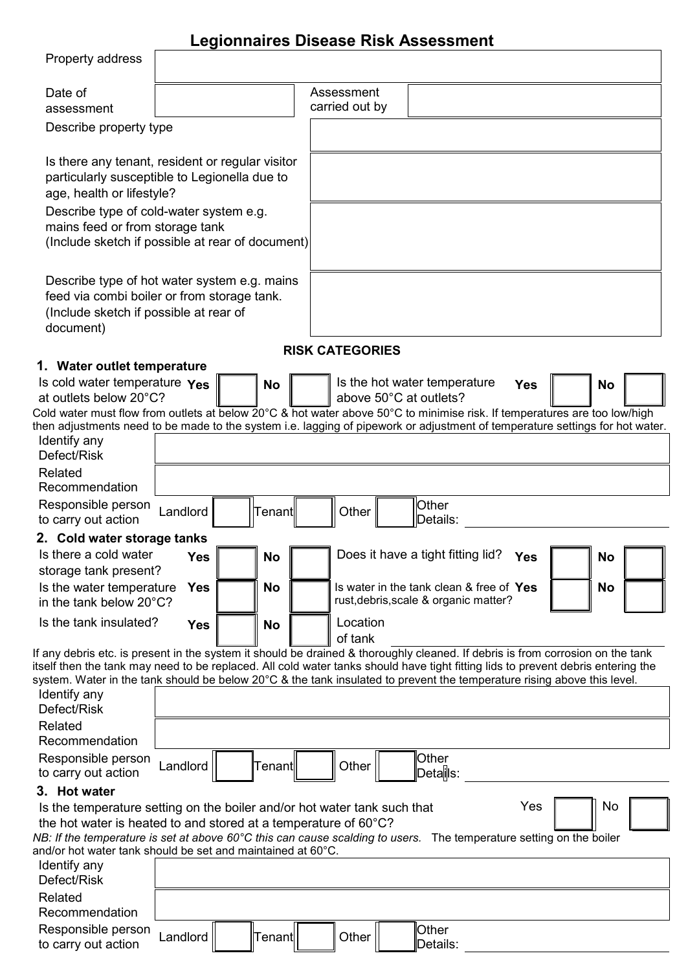# **Legionnaires Disease Risk Assessment**

| Property address                                                                                                                                                                                                                                                   |            |           |                        |                                                                                   |            |           |  |
|--------------------------------------------------------------------------------------------------------------------------------------------------------------------------------------------------------------------------------------------------------------------|------------|-----------|------------------------|-----------------------------------------------------------------------------------|------------|-----------|--|
| Date of                                                                                                                                                                                                                                                            |            |           | Assessment             |                                                                                   |            |           |  |
| assessment                                                                                                                                                                                                                                                         |            |           | carried out by         |                                                                                   |            |           |  |
| Describe property type                                                                                                                                                                                                                                             |            |           |                        |                                                                                   |            |           |  |
| Is there any tenant, resident or regular visitor                                                                                                                                                                                                                   |            |           |                        |                                                                                   |            |           |  |
| particularly susceptible to Legionella due to                                                                                                                                                                                                                      |            |           |                        |                                                                                   |            |           |  |
| age, health or lifestyle?                                                                                                                                                                                                                                          |            |           |                        |                                                                                   |            |           |  |
| Describe type of cold-water system e.g.                                                                                                                                                                                                                            |            |           |                        |                                                                                   |            |           |  |
| mains feed or from storage tank                                                                                                                                                                                                                                    |            |           |                        |                                                                                   |            |           |  |
| (Include sketch if possible at rear of document)                                                                                                                                                                                                                   |            |           |                        |                                                                                   |            |           |  |
| Describe type of hot water system e.g. mains                                                                                                                                                                                                                       |            |           |                        |                                                                                   |            |           |  |
| feed via combi boiler or from storage tank.                                                                                                                                                                                                                        |            |           |                        |                                                                                   |            |           |  |
| (Include sketch if possible at rear of                                                                                                                                                                                                                             |            |           |                        |                                                                                   |            |           |  |
| document)                                                                                                                                                                                                                                                          |            |           |                        |                                                                                   |            |           |  |
| 1. Water outlet temperature                                                                                                                                                                                                                                        |            |           | <b>RISK CATEGORIES</b> |                                                                                   |            |           |  |
| Is cold water temperature Yes                                                                                                                                                                                                                                      |            | No        |                        | Is the hot water temperature                                                      | <b>Yes</b> | <b>No</b> |  |
| at outlets below 20°C?                                                                                                                                                                                                                                             |            |           |                        | above 50°C at outlets?                                                            |            |           |  |
| Cold water must flow from outlets at below 20°C & hot water above 50°C to minimise risk. If temperatures are too low/high                                                                                                                                          |            |           |                        |                                                                                   |            |           |  |
| then adjustments need to be made to the system i.e. lagging of pipework or adjustment of temperature settings for hot water.                                                                                                                                       |            |           |                        |                                                                                   |            |           |  |
| Identify any<br>Defect/Risk                                                                                                                                                                                                                                        |            |           |                        |                                                                                   |            |           |  |
| Related<br>Recommendation                                                                                                                                                                                                                                          |            |           |                        |                                                                                   |            |           |  |
| Responsible person                                                                                                                                                                                                                                                 |            |           |                        | Other                                                                             |            |           |  |
| to carry out action                                                                                                                                                                                                                                                | Landlord   | Tenant    | Other                  | Details:                                                                          |            |           |  |
| 2. Cold water storage tanks                                                                                                                                                                                                                                        |            |           |                        |                                                                                   |            |           |  |
| Is there a cold water                                                                                                                                                                                                                                              | <b>Yes</b> | No        |                        | Does it have a tight fitting lid?                                                 | <b>Yes</b> | <b>No</b> |  |
| storage tank present?                                                                                                                                                                                                                                              |            |           |                        |                                                                                   |            |           |  |
| Is the water temperature<br>in the tank below 20°C?                                                                                                                                                                                                                | <b>Yes</b> | <b>No</b> |                        | Is water in the tank clean & free of Yes<br>rust, debris, scale & organic matter? |            | <b>No</b> |  |
| Is the tank insulated?                                                                                                                                                                                                                                             | <b>Yes</b> | No        | Location               |                                                                                   |            |           |  |
|                                                                                                                                                                                                                                                                    |            |           | of tank                |                                                                                   |            |           |  |
| If any debris etc. is present in the system it should be drained & thoroughly cleaned. If debris is from corrosion on the tank<br>itself then the tank may need to be replaced. All cold water tanks should have tight fitting lids to prevent debris entering the |            |           |                        |                                                                                   |            |           |  |
| system. Water in the tank should be below 20°C & the tank insulated to prevent the temperature rising above this level.                                                                                                                                            |            |           |                        |                                                                                   |            |           |  |
| Identify any                                                                                                                                                                                                                                                       |            |           |                        |                                                                                   |            |           |  |
| Defect/Risk                                                                                                                                                                                                                                                        |            |           |                        |                                                                                   |            |           |  |
| Related<br>Recommendation                                                                                                                                                                                                                                          |            |           |                        |                                                                                   |            |           |  |
| Responsible person                                                                                                                                                                                                                                                 |            |           |                        | Other                                                                             |            |           |  |
| to carry out action                                                                                                                                                                                                                                                | Landlord   | Tenant    | Other                  | Detalls:                                                                          |            |           |  |
| 3. Hot water                                                                                                                                                                                                                                                       |            |           |                        |                                                                                   |            |           |  |
| Is the temperature setting on the boiler and/or hot water tank such that                                                                                                                                                                                           |            |           |                        |                                                                                   | Yes        | No        |  |
| the hot water is heated to and stored at a temperature of 60°C?                                                                                                                                                                                                    |            |           |                        |                                                                                   |            |           |  |
| NB: If the temperature is set at above 60°C this can cause scalding to users. The temperature setting on the boiler                                                                                                                                                |            |           |                        |                                                                                   |            |           |  |
| and/or hot water tank should be set and maintained at 60 $^{\circ}$ C.<br>Identify any                                                                                                                                                                             |            |           |                        |                                                                                   |            |           |  |
| Defect/Risk                                                                                                                                                                                                                                                        |            |           |                        |                                                                                   |            |           |  |
| Related                                                                                                                                                                                                                                                            |            |           |                        |                                                                                   |            |           |  |
| Recommendation                                                                                                                                                                                                                                                     |            |           |                        |                                                                                   |            |           |  |
| Responsible person                                                                                                                                                                                                                                                 | Landlord   | Tenant    | Other                  | Other                                                                             |            |           |  |
| to carry out action                                                                                                                                                                                                                                                |            |           |                        | Details:                                                                          |            |           |  |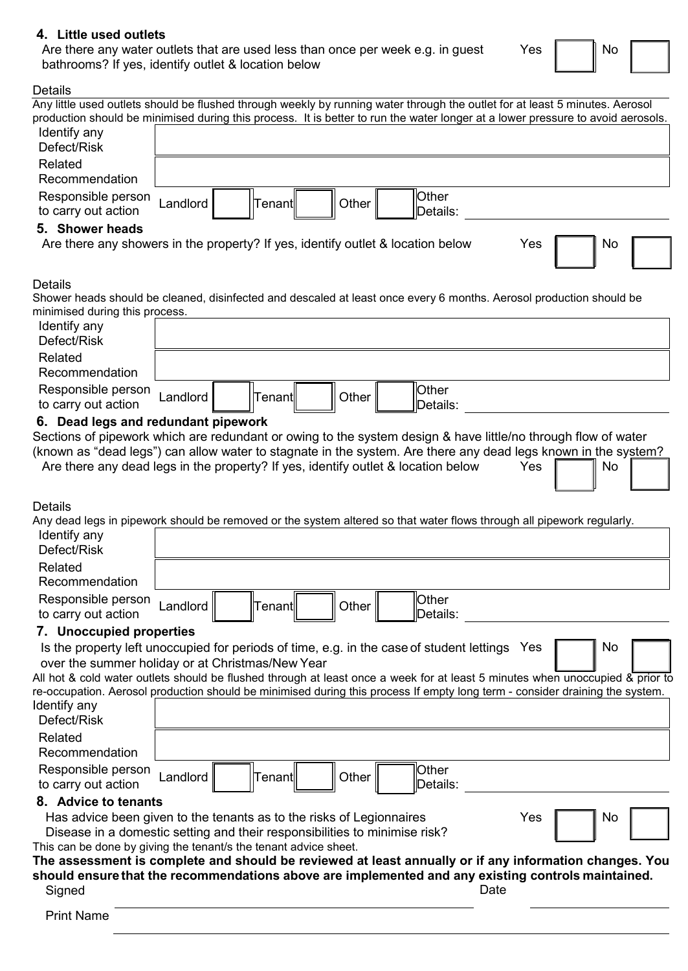#### **4. Little used outlets**

Are there any water outlets that are used less than once per week e.g. in guest bathrooms? If yes, identify outlet & location below

| Yes | I | N |
|-----|---|---|
|     |   |   |

#### Details

| υσιαιιο                                                                                                                                                                                                                         |                      |                  |       |                   |     |           |  |
|---------------------------------------------------------------------------------------------------------------------------------------------------------------------------------------------------------------------------------|----------------------|------------------|-------|-------------------|-----|-----------|--|
| Any little used outlets should be flushed through weekly by running water through the outlet for at least 5 minutes. Aerosol                                                                                                    |                      |                  |       |                   |     |           |  |
| production should be minimised during this process. It is better to run the water longer at a lower pressure to avoid aerosols.<br>Identify any                                                                                 |                      |                  |       |                   |     |           |  |
| Defect/Risk                                                                                                                                                                                                                     |                      |                  |       |                   |     |           |  |
| Related                                                                                                                                                                                                                         |                      |                  |       |                   |     |           |  |
| Recommendation                                                                                                                                                                                                                  |                      |                  |       |                   |     |           |  |
| Responsible person<br>to carry out action                                                                                                                                                                                       | Landlord             | Tenant           | Other | Other<br>Details: |     |           |  |
| 5. Shower heads                                                                                                                                                                                                                 |                      |                  |       |                   |     |           |  |
| Are there any showers in the property? If yes, identify outlet & location below                                                                                                                                                 |                      |                  |       |                   | Yes | <b>No</b> |  |
| <b>Details</b>                                                                                                                                                                                                                  |                      |                  |       |                   |     |           |  |
| Shower heads should be cleaned, disinfected and descaled at least once every 6 months. Aerosol production should be                                                                                                             |                      |                  |       |                   |     |           |  |
| minimised during this process.<br>Identify any                                                                                                                                                                                  |                      |                  |       |                   |     |           |  |
| Defect/Risk                                                                                                                                                                                                                     |                      |                  |       |                   |     |           |  |
| Related                                                                                                                                                                                                                         |                      |                  |       |                   |     |           |  |
| Recommendation                                                                                                                                                                                                                  |                      |                  |       |                   |     |           |  |
|                                                                                                                                                                                                                                 |                      |                  |       |                   |     |           |  |
| Responsible person<br>to carry out action                                                                                                                                                                                       | Landlord             | Tenantl          | Other | Other<br>Details: |     |           |  |
|                                                                                                                                                                                                                                 |                      |                  |       |                   |     |           |  |
| 6. Dead legs and redundant pipework                                                                                                                                                                                             |                      |                  |       |                   |     |           |  |
| Sections of pipework which are redundant or owing to the system design & have little/no through flow of water<br>(known as "dead legs") can allow water to stagnate in the system. Are there any dead legs known in the system? |                      |                  |       |                   |     |           |  |
| Are there any dead legs in the property? If yes, identify outlet & location below                                                                                                                                               |                      |                  |       |                   | Yes | No        |  |
|                                                                                                                                                                                                                                 |                      |                  |       |                   |     |           |  |
|                                                                                                                                                                                                                                 |                      |                  |       |                   |     |           |  |
| <b>Details</b>                                                                                                                                                                                                                  |                      |                  |       |                   |     |           |  |
| Any dead legs in pipework should be removed or the system altered so that water flows through all pipework regularly.                                                                                                           |                      |                  |       |                   |     |           |  |
| Identify any                                                                                                                                                                                                                    |                      |                  |       |                   |     |           |  |
| Defect/Risk                                                                                                                                                                                                                     |                      |                  |       |                   |     |           |  |
| Related                                                                                                                                                                                                                         |                      |                  |       |                   |     |           |  |
| Recommendation                                                                                                                                                                                                                  |                      |                  |       |                   |     |           |  |
| Responsible person                                                                                                                                                                                                              |                      | ∥Tenant <b> </b> | Other | Other             |     |           |  |
| to carry out action                                                                                                                                                                                                             | Landlord $\parallel$ |                  |       | Details:          |     |           |  |
| 7. Unoccupied properties                                                                                                                                                                                                        |                      |                  |       |                   |     |           |  |
| Is the property left unoccupied for periods of time, e.g. in the case of student lettings Yes                                                                                                                                   |                      |                  |       |                   |     | No        |  |
| over the summer holiday or at Christmas/New Year                                                                                                                                                                                |                      |                  |       |                   |     |           |  |
| All hot & cold water outlets should be flushed through at least once a week for at least 5 minutes when unoccupied & prior to                                                                                                   |                      |                  |       |                   |     |           |  |
| re-occupation. Aerosol production should be minimised during this process If empty long term - consider draining the system.                                                                                                    |                      |                  |       |                   |     |           |  |
|                                                                                                                                                                                                                                 |                      |                  |       |                   |     |           |  |
| Identify any                                                                                                                                                                                                                    |                      |                  |       |                   |     |           |  |
| Defect/Risk                                                                                                                                                                                                                     |                      |                  |       |                   |     |           |  |
| Related                                                                                                                                                                                                                         |                      |                  |       |                   |     |           |  |
| Recommendation                                                                                                                                                                                                                  |                      |                  |       |                   |     |           |  |
| Responsible person                                                                                                                                                                                                              |                      |                  |       | Other             |     |           |  |
| to carry out action                                                                                                                                                                                                             | Landlord             | Tenant           | Other | Details:          |     |           |  |
| 8. Advice to tenants                                                                                                                                                                                                            |                      |                  |       |                   |     |           |  |
|                                                                                                                                                                                                                                 |                      |                  |       |                   | Yes | No.       |  |
| Has advice been given to the tenants as to the risks of Legionnaires<br>Disease in a domestic setting and their responsibilities to minimise risk?                                                                              |                      |                  |       |                   |     |           |  |
| This can be done by giving the tenant/s the tenant advice sheet.                                                                                                                                                                |                      |                  |       |                   |     |           |  |
| The assessment is complete and should be reviewed at least annually or if any information changes. You                                                                                                                          |                      |                  |       |                   |     |           |  |
| should ensure that the recommendations above are implemented and any existing controls maintained.<br>Signed                                                                                                                    |                      |                  |       | Date              |     |           |  |

Print Name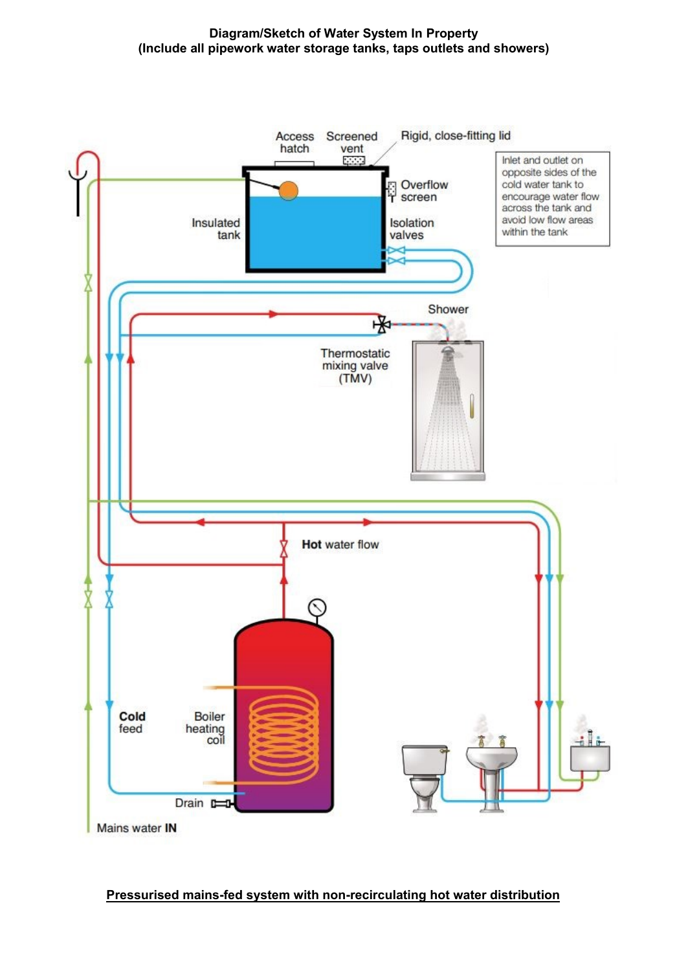#### **Diagram/Sketch of Water System In Property (Include all pipework water storage tanks, taps outlets and showers)**



**Pressurised mains-fed system with non-recirculating hot water distribution**